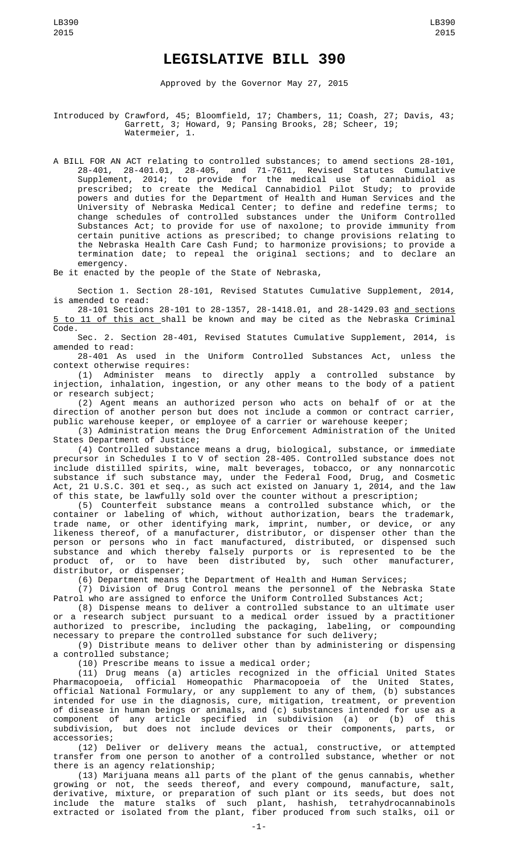## **LEGISLATIVE BILL 390**

Approved by the Governor May 27, 2015

Introduced by Crawford, 45; Bloomfield, 17; Chambers, 11; Coash, 27; Davis, 43; Garrett, 3; Howard, 9; Pansing Brooks, 28; Scheer, 19; Watermeier, 1.

A BILL FOR AN ACT relating to controlled substances; to amend sections 28-101, 28-401, 28-401.01, 28-405, and 71-7611, Revised Statutes Cumulative Supplement, 2014; to provide for the medical use of cannabidiol as prescribed; to create the Medical Cannabidiol Pilot Study; to provide powers and duties for the Department of Health and Human Services and the University of Nebraska Medical Center; to define and redefine terms; to change schedules of controlled substances under the Uniform Controlled Substances Act; to provide for use of naxolone; to provide immunity from certain punitive actions as prescribed; to change provisions relating to the Nebraska Health Care Cash Fund; to harmonize provisions; to provide a termination date; to repeal the original sections; and to declare an emergency.

Be it enacted by the people of the State of Nebraska,

Section 1. Section 28-101, Revised Statutes Cumulative Supplement, 2014, is amended to read:

28-101 Sections 28-101 to 28-1357, 28-1418.01, and 28-1429.03 and sections 5 to 11 of this act shall be known and may be cited as the Nebraska Criminal Code.

Sec. 2. Section 28-401, Revised Statutes Cumulative Supplement, 2014, is amended to read:

28-401 As used in the Uniform Controlled Substances Act, unless the context otherwise requires:

(1) Administer means to directly apply a controlled substance by injection, inhalation, ingestion, or any other means to the body of a patient or research subject;

(2) Agent means an authorized person who acts on behalf of or at the direction of another person but does not include a common or contract carrier, public warehouse keeper, or employee of a carrier or warehouse keeper;

(3) Administration means the Drug Enforcement Administration of the United States Department of Justice;

(4) Controlled substance means a drug, biological, substance, or immediate precursor in Schedules I to V of section 28-405. Controlled substance does not include distilled spirits, wine, malt beverages, tobacco, or any nonnarcotic substance if such substance may, under the Federal Food, Drug, and Cosmetic Act, 21 U.S.C. 301 et seq., as such act existed on January 1, 2014, and the law of this state, be lawfully sold over the counter without a prescription;

(5) Counterfeit substance means a controlled substance which, or the container or labeling of which, without authorization, bears the trademark, trade name, or other identifying mark, imprint, number, or device, or any likeness thereof, of a manufacturer, distributor, or dispenser other than the person or persons who in fact manufactured, distributed, or dispensed such substance and which thereby falsely purports or is represented to be the product of, or to have been distributed by, such other manufacturer, distributor, or dispenser;

(6) Department means the Department of Health and Human Services;

(7) Division of Drug Control means the personnel of the Nebraska State Patrol who are assigned to enforce the Uniform Controlled Substances Act;

(8) Dispense means to deliver a controlled substance to an ultimate user or a research subject pursuant to a medical order issued by a practitioner authorized to prescribe, including the packaging, labeling, or compounding necessary to prepare the controlled substance for such delivery;

(9) Distribute means to deliver other than by administering or dispensing a controlled substance;

(10) Prescribe means to issue a medical order;

(11) Drug means (a) articles recognized in the official United States Pharmacopoeia, official Homeopathic Pharmacopoeia of the United States, official National Formulary, or any supplement to any of them, (b) substances intended for use in the diagnosis, cure, mitigation, treatment, or prevention of disease in human beings or animals, and (c) substances intended for use as a component of any article specified in subdivision (a) or (b) of this subdivision, but does not include devices or their components, parts, or accessories;

(12) Deliver or delivery means the actual, constructive, or attempted transfer from one person to another of a controlled substance, whether or not there is an agency relationship;

(13) Marijuana means all parts of the plant of the genus cannabis, whether growing or not, the seeds thereof, and every compound, manufacture, salt, derivative, mixture, or preparation of such plant or its seeds, but does not include the mature stalks of such plant, hashish, tetrahydrocannabinols extracted or isolated from the plant, fiber produced from such stalks, oil or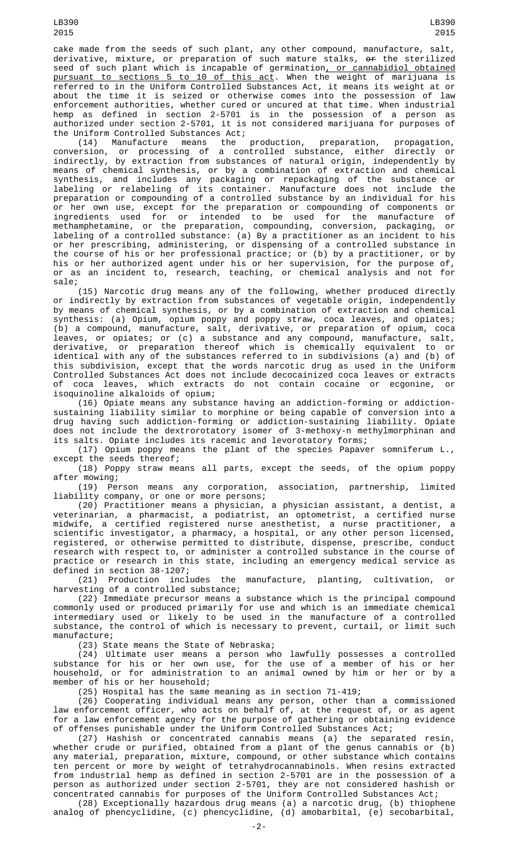cake made from the seeds of such plant, any other compound, manufacture, salt, derivative, mixture, or preparation of such mature stalks, <del>or</del> the sterilized seed of such plant which is incapable of germination, or cannabidiol obtained pursuant to sections 5 to 10 of this act. When the weight of marijuana is referred to in the Uniform Controlled Substances Act, it means its weight at or about the time it is seized or otherwise comes into the possession of law enforcement authorities, whether cured or uncured at that time. When industrial hemp as defined in section 2-5701 is in the possession of a person as authorized under section 2-5701, it is not considered marijuana for purposes of the Uniform Controlled Substances Act;<br>(14) Manufacture means the

(14) Manufacture means the production, preparation, propagation, conversion, or processing of a controlled substance, either directly or indirectly, by extraction from substances of natural origin, independently by means of chemical synthesis, or by a combination of extraction and chemical synthesis, and includes any packaging or repackaging of the substance or labeling or relabeling of its container. Manufacture does not include the preparation or compounding of a controlled substance by an individual for his or her own use, except for the preparation or compounding of components or ingredients used for or intended to be used for the manufacture of methamphetamine, or the preparation, compounding, conversion, packaging, or labeling of a controlled substance: (a) By a practitioner as an incident to his or her prescribing, administering, or dispensing of a controlled substance in the course of his or her professional practice; or (b) by a practitioner, or by his or her authorized agent under his or her supervision, for the purpose of, or as an incident to, research, teaching, or chemical analysis and not for sale;

(15) Narcotic drug means any of the following, whether produced directly or indirectly by extraction from substances of vegetable origin, independently by means of chemical synthesis, or by a combination of extraction and chemical synthesis: (a) Opium, opium poppy and poppy straw, coca leaves, and opiates; (b) a compound, manufacture, salt, derivative, or preparation of opium, coca leaves, or opiates; or (c) a substance and any compound, manufacture, salt, derivative, or preparation thereof which is chemically equivalent to or identical with any of the substances referred to in subdivisions (a) and (b) of this subdivision, except that the words narcotic drug as used in the Uniform Controlled Substances Act does not include decocainized coca leaves or extracts of coca leaves, which extracts do not contain cocaine or ecgonine, or isoquinoline alkaloids of opium;

(16) Opiate means any substance having an addiction-forming or addictionsustaining liability similar to morphine or being capable of conversion into a drug having such addiction-forming or addiction-sustaining liability. Opiate does not include the dextrorotatory isomer of 3-methoxy-n methylmorphinan and its salts. Opiate includes its racemic and levorotatory forms;

(17) Opium poppy means the plant of the species Papaver somniferum L., except the seeds thereof;

(18) Poppy straw means all parts, except the seeds, of the opium poppy after mowing;

(19) Person means any corporation, association, partnership, limited liability company, or one or more persons;

(20) Practitioner means a physician, a physician assistant, a dentist, a veterinarian, a pharmacist, a podiatrist, an optometrist, a certified nurse midwife, a certified registered nurse anesthetist, a nurse practitioner, a scientific investigator, a pharmacy, a hospital, or any other person licensed, registered, or otherwise permitted to distribute, dispense, prescribe, conduct research with respect to, or administer a controlled substance in the course of practice or research in this state, including an emergency medical service as defined in section 38-1207;

(21) Production includes the manufacture, planting, cultivation, or harvesting of a controlled substance;

(22) Immediate precursor means a substance which is the principal compound commonly used or produced primarily for use and which is an immediate chemical intermediary used or likely to be used in the manufacture of a controlled substance, the control of which is necessary to prevent, curtail, or limit such manufacture;

(23) State means the State of Nebraska;

(24) Ultimate user means a person who lawfully possesses a controlled substance for his or her own use, for the use of a member of his or her household, or for administration to an animal owned by him or her or by a member of his or her household;

(25) Hospital has the same meaning as in section 71-419;

(26) Cooperating individual means any person, other than a commissioned law enforcement officer, who acts on behalf of, at the request of, or as agent for a law enforcement agency for the purpose of gathering or obtaining evidence of offenses punishable under the Uniform Controlled Substances Act;

(27) Hashish or concentrated cannabis means (a) the separated resin, whether crude or purified, obtained from a plant of the genus cannabis or (b) any material, preparation, mixture, compound, or other substance which contains ten percent or more by weight of tetrahydrocannabinols. When resins extracted from industrial hemp as defined in section 2-5701 are in the possession of a person as authorized under section 2-5701, they are not considered hashish or concentrated cannabis for purposes of the Uniform Controlled Substances Act;

(28) Exceptionally hazardous drug means (a) a narcotic drug, (b) thiophene analog of phencyclidine, (c) phencyclidine, (d) amobarbital, (e) secobarbital,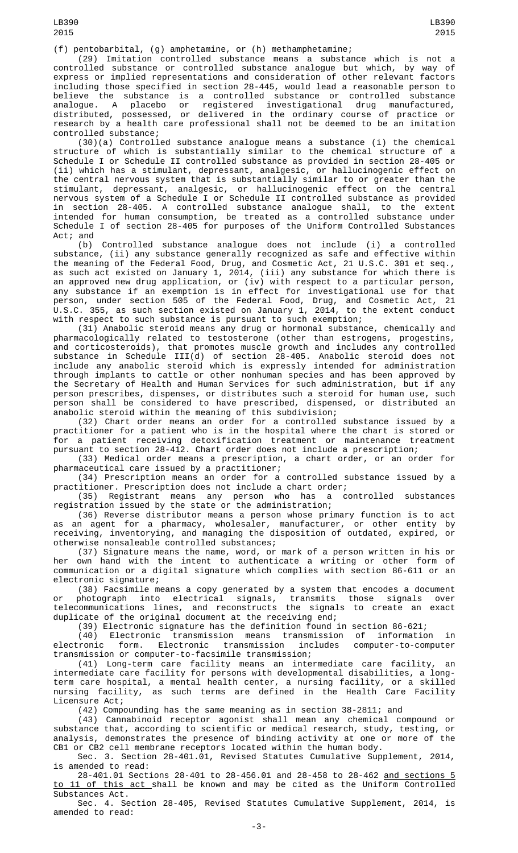(29) Imitation controlled substance means a substance which is not a controlled substance or controlled substance analogue but which, by way of express or implied representations and consideration of other relevant factors including those specified in section 28-445, would lead a reasonable person to believe the substance is a controlled substance or controlled substance analogue. A placebo or registered investigational drug manufactured, distributed, possessed, or delivered in the ordinary course of practice or research by a health care professional shall not be deemed to be an imitation controlled substance;

(30)(a) Controlled substance analogue means a substance (i) the chemical structure of which is substantially similar to the chemical structure of a Schedule I or Schedule II controlled substance as provided in section 28-405 or (ii) which has a stimulant, depressant, analgesic, or hallucinogenic effect on the central nervous system that is substantially similar to or greater than the stimulant, depressant, analgesic, or hallucinogenic effect on the central nervous system of a Schedule I or Schedule II controlled substance as provided in section 28-405. A controlled substance analogue shall, to the extent intended for human consumption, be treated as a controlled substance under Schedule I of section 28-405 for purposes of the Uniform Controlled Substances Act; and

(b) Controlled substance analogue does not include (i) a controlled substance, (ii) any substance generally recognized as safe and effective within the meaning of the Federal Food, Drug, and Cosmetic Act, 21 U.S.C. 301 et seq., as such act existed on January 1, 2014, (iii) any substance for which there is an approved new drug application, or (iv) with respect to a particular person, any substance if an exemption is in effect for investigational use for that person, under section 505 of the Federal Food, Drug, and Cosmetic Act, 21 U.S.C. 355, as such section existed on January 1, 2014, to the extent conduct with respect to such substance is pursuant to such exemption;

(31) Anabolic steroid means any drug or hormonal substance, chemically and pharmacologically related to testosterone (other than estrogens, progestins, and corticosteroids), that promotes muscle growth and includes any controlled substance in Schedule III(d) of section 28-405. Anabolic steroid does not include any anabolic steroid which is expressly intended for administration through implants to cattle or other nonhuman species and has been approved by the Secretary of Health and Human Services for such administration, but if any person prescribes, dispenses, or distributes such a steroid for human use, such person shall be considered to have prescribed, dispensed, or distributed an anabolic steroid within the meaning of this subdivision;

(32) Chart order means an order for a controlled substance issued by a practitioner for a patient who is in the hospital where the chart is stored or for a patient receiving detoxification treatment or maintenance treatment pursuant to section 28-412. Chart order does not include a prescription;

(33) Medical order means a prescription, a chart order, or an order for pharmaceutical care issued by a practitioner;

(34) Prescription means an order for a controlled substance issued by a practitioner. Prescription does not include a chart order;

(35) Registrant means any person who has a controlled substances registration issued by the state or the administration;

(36) Reverse distributor means a person whose primary function is to act as an agent for a pharmacy, wholesaler, manufacturer, or other entity by receiving, inventorying, and managing the disposition of outdated, expired, or otherwise nonsaleable controlled substances;

(37) Signature means the name, word, or mark of a person written in his or her own hand with the intent to authenticate a writing or other form of communication or a digital signature which complies with section 86-611 or an electronic signature;

(38) Facsimile means a copy generated by a system that encodes a document or photograph into electrical signals, transmits those signals over telecommunications lines, and reconstructs the signals to create an exact duplicate of the original document at the receiving end;

(39) Electronic signature has the definition found in section 86-621;

(40) Electronic transmission means transmission of information in electronic form. Electronic transmission includes computer-to-computer transmission or computer-to-facsimile transmission;

(41) Long-term care facility means an intermediate care facility, an intermediate care facility for persons with developmental disabilities, a longterm care hospital, a mental health center, a nursing facility, or a skilled nursing facility, as such terms are defined in the Health Care Facility Licensure Act;

(42) Compounding has the same meaning as in section 38-2811; and

(43) Cannabinoid receptor agonist shall mean any chemical compound or substance that, according to scientific or medical research, study, testing, or analysis, demonstrates the presence of binding activity at one or more of the CB1 or CB2 cell membrane receptors located within the human body.

Sec. 3. Section 28-401.01, Revised Statutes Cumulative Supplement, 2014, is amended to read:

28-401.01 Sections 28-401 to 28-456.01 and 28-458 to 28-462 and sections 5 to 11 of this act shall be known and may be cited as the Uniform Controlled Substances Act.

Sec. 4. Section 28-405, Revised Statutes Cumulative Supplement, 2014, is amended to read: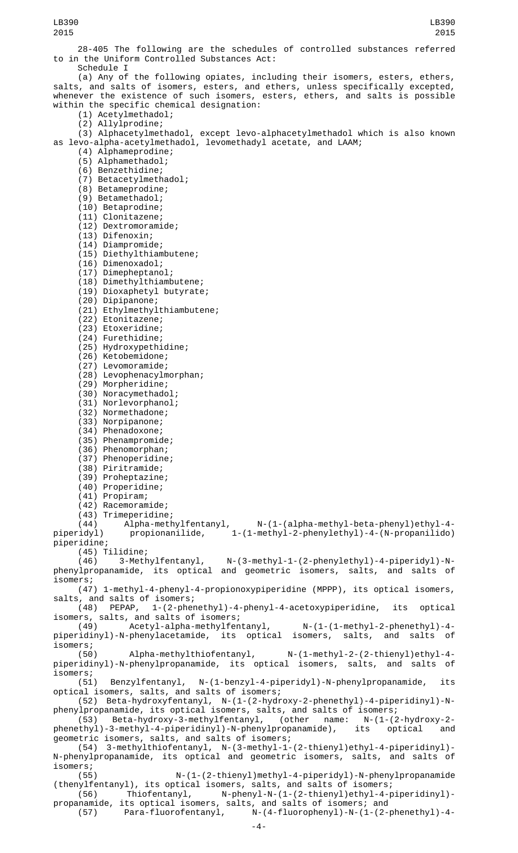28-405 The following are the schedules of controlled substances referred to in the Uniform Controlled Substances Act: Schedule I

(a) Any of the following opiates, including their isomers, esters, ethers, salts, and salts of isomers, esters, and ethers, unless specifically excepted, whenever the existence of such isomers, esters, ethers, and salts is possible within the specific chemical designation:

- (1) Acetylmethadol;
- (2) Allylprodine;

(3) Alphacetylmethadol, except levo-alphacetylmethadol which is also known as levo-alpha-acetylmethadol, levomethadyl acetate, and LAAM;

- (4) Alphameprodine;
- (5) Alphamethadol; (6) Benzethidine;
- (7) Betacetylmethadol;
- (8) Betameprodine;
- (9) Betamethadol;
- (10) Betaprodine;
- (11) Clonitazene;
- (12) Dextromoramide;
- (13) Difenoxin;
- (14) Diampromide;
- (15) Diethylthiambutene;
- (16) Dimenoxadol;
- (17) Dimepheptanol;
- (18) Dimethylthiambutene;
- (19) Dioxaphetyl butyrate;
- (20) Dipipanone;
- (21) Ethylmethylthiambutene;
- (22) Etonitazene;
- (23) Etoxeridine;
- (24) Furethidine;
- (25) Hydroxypethidine;
- (26) Ketobemidone;
- (27) Levomoramide;
- (28) Levophenacylmorphan; (29) Morpheridine;
- 
- (30) Noracymethadol; (31) Norlevorphanol;
- (32) Normethadone;
- (33) Norpipanone;
- (34) Phenadoxone;
- (35) Phenampromide;
- (36) Phenomorphan;
- (37) Phenoperidine;
- (38) Piritramide;
- (39) Proheptazine;
- (40) Properidine;
- (41) Propiram;
- (42) Racemoramide;
- 

(43) Trimeperidine; (44) Alpha-methylfentanyl, N-(1-(alpha-methyl-beta-phenyl)ethyl-4 piperidyl) propionanilide, 1-(1-methyl-2-phenylethyl)-4-(N-propanilido) piperidine;

(45) Tilidine; N-(3-methyl-1-(2-phenylethyl)-4-piperidyl)-Nphenylpropanamide, its optical and geometric isomers, salts, and salts of isomers;

(47) 1-methyl-4-phenyl-4-propionoxypiperidine (MPPP), its optical isomers, salts, and salts of isomers;

(48) PEPAP, 1-(2-phenethyl)-4-phenyl-4-acetoxypiperidine, its optical isomers, salts, and salts of isomers;

(49) Acetyl-alpha-methylfentanyl, N-(1-(1-methyl-2-phenethyl)-4 piperidinyl)-N-phenylacetamide, its optical isomers, salts, and salts of isomers;<br>(50)

Alpha-methylthiofentanyl, N-(1-methyl-2-(2-thienyl)ethyl-4piperidinyl)-N-phenylpropanamide, its optical isomers, salts, and salts of isomers;<br>(51)

(51) Benzylfentanyl, N-(1-benzyl-4-piperidyl)-N-phenylpropanamide, its optical isomers, salts, and salts of isomers;

(52) Beta-hydroxyfentanyl, N-(1-(2-hydroxy-2-phenethyl)-4-piperidinyl)-Nphenylpropanamide, its optical isomers, salts, and salts of isomers;

(53) Beta-hydroxy-3-methylfentanyl, (other name: N-(1-(2-hydroxy-2 phenethyl)-3-methyl-4-piperidinyl)-N-phenylpropanamide), its optical and geometric isomers, salts, and salts of isomers;

(54) 3-methylthiofentanyl, N-(3-methyl-1-(2-thienyl)ethyl-4-piperidinyl)- N-phenylpropanamide, its optical and geometric isomers, salts, and salts of

isomers;<br>(55) (55) N-(1-(2-thienyl)methyl-4-piperidyl)-N-phenylpropanamide (thenylfentanyl), its optical isomers, salts, and salts of isomers;

(56) Thiofentanyl, N-phenyl-N-(1-(2-thienyl)ethyl-4-piperidinyl) propanamide, its optical isomers, salts, and salts of isomers; and

(57) Para-fluorofentanyl, N-(4-fluorophenyl)-N-(1-(2-phenethyl)-4-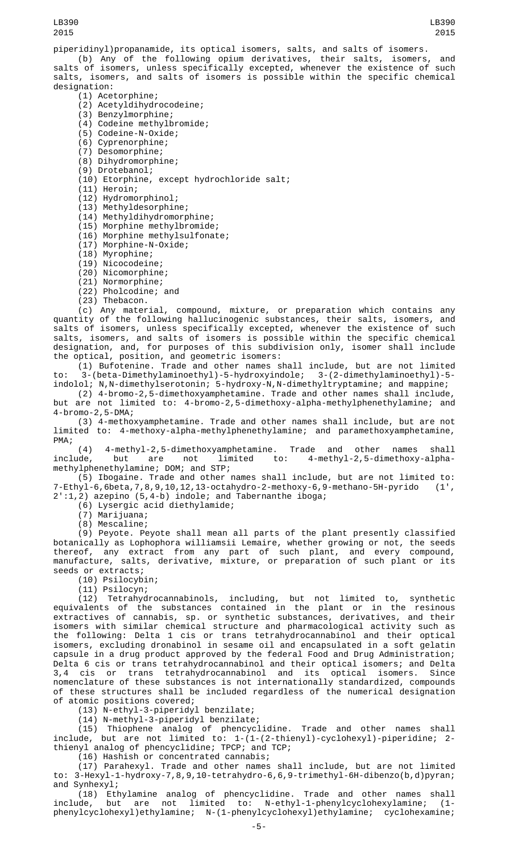## LB390 2015

piperidinyl)propanamide, its optical isomers, salts, and salts of isomers.

(b) Any of the following opium derivatives, their salts, isomers, and salts of isomers, unless specifically excepted, whenever the existence of such salts, isomers, and salts of isomers is possible within the specific chemical designation:

- (1) Acetorphine;
- (2) Acetyldihydrocodeine;
- (3) Benzylmorphine;
- (4) Codeine methylbromide;
- (5) Codeine-N-Oxide;
- (6) Cyprenorphine;
- (7) Desomorphine;
- (8) Dihydromorphine;
- (9) Drotebanol;
- (10) Etorphine, except hydrochloride salt;
- (11) Heroin;
- (12) Hydromorphinol;
- (13) Methyldesorphine;
- (14) Methyldihydromorphine;
- (15) Morphine methylbromide;
- (16) Morphine methylsulfonate;
- (17) Morphine-N-Oxide;
- (18) Myrophine;
- (19) Nicocodeine;
- (20) Nicomorphine;
- (21) Normorphine;
- (22) Pholcodine; and
- (23) Thebacon.

(c) Any material, compound, mixture, or preparation which contains any quantity of the following hallucinogenic substances, their salts, isomers, and salts of isomers, unless specifically excepted, whenever the existence of such salts, isomers, and salts of isomers is possible within the specific chemical designation, and, for purposes of this subdivision only, isomer shall include the optical, position, and geometric isomers:

(1) Bufotenine. Trade and other names shall include, but are not limited to: 3-(beta-Dimethylaminoethyl)-5-hydroxyindole; 3-(2-dimethylaminoethyl)-5 indolol; N,N-dimethylserotonin; 5-hydroxy-N,N-dimethyltryptamine; and mappine;

(2) 4-bromo-2,5-dimethoxyamphetamine. Trade and other names shall include,

but are not limited to: 4-bromo-2,5-dimethoxy-alpha-methylphenethylamine; and 4-bromo-2,5-DMA;

(3) 4-methoxyamphetamine. Trade and other names shall include, but are not limited to: 4-methoxy-alpha-methylphenethylamine; and paramethoxyamphetamine, PMA;

(4) 4-methyl-2,5-dimethoxyamphetamine. Trade and other names shall include, but are not limited to: 4-methyl-2,5-dimethoxy-alphamethylphenethylamine; DOM; and STP;

(5) Ibogaine. Trade and other names shall include, but are not limited to: 7-Ethyl-6,6beta,7,8,9,10,12,13-octahydro-2-methoxy-6,9-methano-5H-pyrido (1', 2':1,2) azepino (5,4-b) indole; and Tabernanthe iboga;

(6) Lysergic acid diethylamide;

(7) Marijuana;

(8) Mescaline;

(9) Peyote. Peyote shall mean all parts of the plant presently classified botanically as Lophophora williamsii Lemaire, whether growing or not, the seeds thereof, any extract from any part of such plant, and every compound, manufacture, salts, derivative, mixture, or preparation of such plant or its seeds or extracts;

(10) Psilocybin;

(11) Psilocyn;

(12) Tetrahydrocannabinols, including, but not limited to, synthetic equivalents of the substances contained in the plant or in the resinous extractives of cannabis, sp. or synthetic substances, derivatives, and their isomers with similar chemical structure and pharmacological activity such as the following: Delta 1 cis or trans tetrahydrocannabinol and their optical isomers, excluding dronabinol in sesame oil and encapsulated in a soft gelatin capsule in a drug product approved by the federal Food and Drug Administration; Delta 6 cis or trans tetrahydrocannabinol and their optical isomers; and Delta 3,4 cis or trans tetrahydrocannabinol and its optical isomers. Since nomenclature of these substances is not internationally standardized, compounds of these structures shall be included regardless of the numerical designation of atomic positions covered;

(13) N-ethyl-3-piperidyl benzilate;

(14) N-methyl-3-piperidyl benzilate;

(15) Thiophene analog of phencyclidine. Trade and other names shall include, but are not limited to: 1-(1-(2-thienyl)-cyclohexyl)-piperidine; 2 thienyl analog of phencyclidine; TPCP; and TCP;

(16) Hashish or concentrated cannabis;

(17) Parahexyl. Trade and other names shall include, but are not limited to: 3-Hexyl-1-hydroxy-7,8,9,10-tetrahydro-6,6,9-trimethyl-6H-dibenzo(b,d)pyran; and Synhexyl;

(18) Ethylamine analog of phencyclidine. Trade and other names shall include, but are not limited to: N-ethyl-1-phenylcyclohexylamine; (1 phenylcyclohexyl)ethylamine; N-(1-phenylcyclohexyl)ethylamine; cyclohexamine;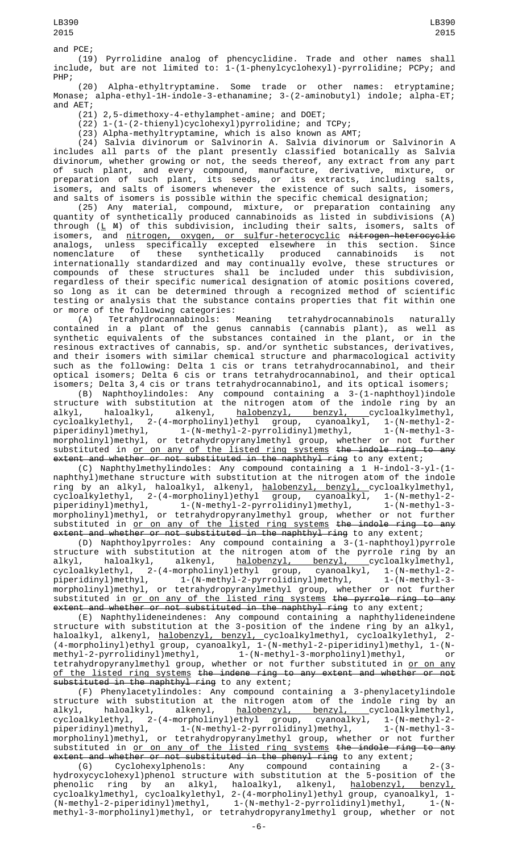and PCE;

(19) Pyrrolidine analog of phencyclidine. Trade and other names shall include, but are not limited to: 1-(1-phenylcyclohexyl)-pyrrolidine; PCPy; and PHP;

(20) Alpha-ethyltryptamine. Some trade or other names: etryptamine; Monase; alpha-ethyl-1H-indole-3-ethanamine; 3-(2-aminobutyl) indole; alpha-ET; and AET;

(21) 2,5-dimethoxy-4-ethylamphet-amine; and DOET;

(22) 1-(1-(2-thienyl)cyclohexyl)pyrrolidine; and TCPy;

(23) Alpha-methyltryptamine, which is also known as AMT;

(24) Salvia divinorum or Salvinorin A. Salvia divinorum or Salvinorin A includes all parts of the plant presently classified botanically as Salvia divinorum, whether growing or not, the seeds thereof, any extract from any part of such plant, and every compound, manufacture, derivative, mixture, or preparation of such plant, its seeds, or its extracts, including salts, isomers, and salts of isomers whenever the existence of such salts, isomers, and salts of isomers is possible within the specific chemical designation;

(25) Any material, compound, mixture, or preparation containing any quantity of synthetically produced cannabinoids as listed in subdivisions (A) through (<u>L</u> <code>M</code>) of this subdivision, including their salts, isomers, salts of isomers, and nitrogen, oxygen, or sulfur-heterocyclic nitrogen-heterocyclic analogs, unless specifically excepted elsewhere in this section. Since nomenclature of these synthetically produced cannabinoids is not internationally standardized and may continually evolve, these structures or compounds of these structures shall be included under this subdivision, regardless of their specific numerical designation of atomic positions covered, so long as it can be determined through a recognized method of scientific testing or analysis that the substance contains properties that fit within one or more of the following categories:<br>(A) Tetrahydrocannabinols: Meaning

(A) Tetrahydrocannabinols: Meaning tetrahydrocannabinols naturally contained in a plant of the genus cannabis (cannabis plant), as well as synthetic equivalents of the substances contained in the plant, or in the resinous extractives of cannabis, sp. and/or synthetic substances, derivatives, and their isomers with similar chemical structure and pharmacological activity such as the following: Delta 1 cis or trans tetrahydrocannabinol, and their optical isomers; Delta 6 cis or trans tetrahydrocannabinol, and their optical isomers; Delta 3,4 cis or trans tetrahydrocannabinol, and its optical isomers;

(B) Naphthoylindoles: Any compound containing a 3-(1-naphthoyl)indole structure with substitution at the nitrogen atom of the indole ring by an alkyl, haloalkyl, alkenyl, <u>halobenzyl, benzyl, c</u>ycloalkylmethyl,<br>cycloalkylethyl, 2-(4-morpholinyl)ethyl group, cyanoalkyl, 1-(N-methyl-2-<br>piperidinyl)methyl, 1-(N-methyl-2-pyrrolidinyl)methyl, 1-(N-methyl-3cycloalkylethyl, 2-(4-morpholinyl)ethyl group, cyanoalkyl, 1-(N-methyl-2 piperidinyl)methyl, 1-(N-methyl-2-pyrrolidinyl)methyl, 1-(N-methyl-3 morpholinyl)methyl, or tetrahydropyranylmethyl group, whether or not further substituted in <u>or on any of the listed ring systems</u> <del>the indole ring to any</del> extent and whether or not substituted in the naphthyl ring to any extent;

(C) Naphthylmethylindoles: Any compound containing a 1 H-indol-3-yl-(1 naphthyl)methane structure with substitution at the nitrogen atom of the indole ring by an alkyl, haloalkyl, alkenyl, <u>halobenzyl, benzyl, c</u>ycloalkylmethyl, cycloalkylethyl, 2-(4-morpholinyl)ethyl group, cyanoalkyl, 1-(N-methyl-2 piperidinyl)methyl, 1-(N-methyl-2-pyrrolidinyl)methyl, 1-(N-methyl-3 morpholinyl)methyl, or tetrahydropyranylmethyl group, whether or not further substituted in <u>or on any of the listed ring systems</u> <del>the indole ring to any</del> extent and whether or not substituted in the naphthyl ring to any extent;

(D) Naphthoylpyrroles: Any compound containing a 3-(1-naphthoyl)pyrrole structure with substitution at the nitrogen atom of the pyrrole ring by an alkyl, haloalkyl, alkenyl, <u>halobenzyl, benzyl, c</u>ycloalkylmethyl, alkyl, haloalkyl, alkenyl, halobenzyl, benzyl, cycloalkylmethyl,<br>cycloalkylethyl, 2-(4-morpholinyl)ethyl group, cyanoalkyl, 1-(N-methyl-2piperidinyl)methyl, 1-(N-methyl-2-pyrrolidinyl)methyl, 1-(N-methyl-3 morpholinyl)methyl, or tetrahydropyranylmethyl group, whether or not further substituted in <u>or on any of the listed ring systems</u> <del>the pyrrole ring to any</del> extent and whether or not substituted in the naphthyl ring to any extent;

(E) Naphthylideneindenes: Any compound containing a naphthylideneindene structure with substitution at the 3-position of the indene ring by an alkyl, haloalkyl, alkenyl, <u>halobenzyl, benzyl, c</u>ycloalkylmethyl, cycloalkylethyl, 2-(4-morpholinyl)ethyl group, cyanoalkyl, 1-(N-methyl-2-piperidinyl)methyl, 1-(Nmethyl-2-pyrrolidinyl)methyl, 1-(N-methyl-3-morpholinyl)methyl, or tetrahydropyranylmethyl group, whether or not further substituted in <u>or on any</u> of the listed ring systems the indene ring to any extent and whether or not substituted in the naphthyl ring to any extent;

(F) Phenylacetylindoles: Any compound containing a 3-phenylacetylindole structure with substitution at the nitrogen atom of the indole ring by an alkyl, haloalkyl, alkenyl, halobenzyl, benzyl, cycloalkylmethyl,<br>cycloalkylethyl, 2-(4-morpholinyl)ethyl group, cyanoalkyl, 1-(N-methyl-2cycloalkylethyl, 2-(4-morpholinyl)ethyl group, piperidinyl)methyl, 1-(N-methyl-2-pyrrolidinyl)methyl, 1-(N-methyl-3 morpholinyl)methyl, or tetrahydropyranylmethyl group, whether or not further substituted in <u>or on any of the listed ring systems</u> <del>the indole ring to any</del>

extent and whether or not substituted in the phenyl ring to any extent;<br>(G) Cyclohexylphenols: Any compound containing a Cyclohexylphenols: Any compound containing a 2-(3hydroxycyclohexyl)phenol structure with substitution at the 5-position of the phenolic ring by an alkyl, haloalkyl, alkenyl, <u>halobenzyl, benzyl,</u> cycloalkylmethyl, cycloalkylethyl, 2-(4-morpholinyl)ethyl group, cyanoalkyl, 1- (N-methyl-2-piperidinyl)methyl, 1-(N-methyl-2-pyrrolidinyl)methyl, 1-(Nmethyl-3-morpholinyl)methyl, or tetrahydropyranylmethyl group, whether or not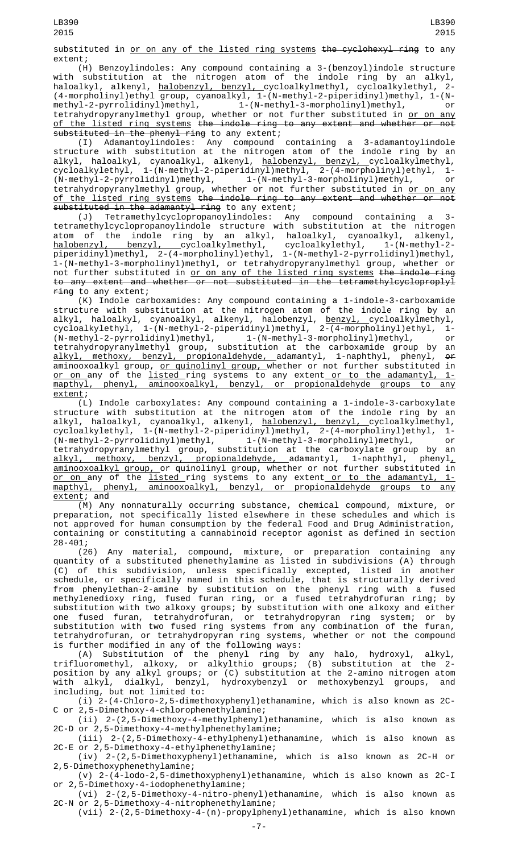substituted in or on any of the listed ring systems the cyclohexyl ring to any extent;

(H) Benzoylindoles: Any compound containing a 3-(benzoyl)indole structure with substitution at the nitrogen atom of the indole ring by an alkyl, haloalkyl, alkenyl, <u>halobenzyl, benzyl, c</u>ycloalkylmethyl, cycloalkylethyl, 2-(4-morpholinyl)ethyl group, cyanoalkyl, 1-(N-methyl-2-piperidinyl)methyl, 1-(Nmethyl-2-pyrrolidinyl)methyl, 1-(N-methyl-3-morpholinyl)methyl, or tetrahydropyranylmethyl group, whether or not further substituted in <u>or on any</u> of the listed ring systems the indole ring to any extent and whether or not substituted in the phenyl ring to any extent;

(I) Adamantoylindoles: Any compound containing a 3-adamantoylindole structure with substitution at the nitrogen atom of the indole ring by an alkyl, haloalkyl, cyanoalkyl, alkenyl, <u>halobenzyl, benzyl, c</u>ycloalkylmethyl, cycloalkylethyl, 1-(N-methyl-2-piperidinyl)methyl, 2-(4-morpholinyl)ethyl, 1- (N-methyl-2-pyrrolidinyl)methyl, 1-(N-methyl-3-morpholinyl)methyl, or cycloalkylethyl, 1-(N-methyl-2-piperidinyl)methyl, 2-(4-morpholinyl)ethyl, 1-<br>(N-methyl-2-pyrrolidinyl)methyl, 1-(N-methyl-3-morpholinyl)methyl, or<br>tetrahydropyranylmethyl group, whether or not further substituted in <u>or o</u> of the listed ring systems the indole ring to any extent and whether or not substituted in the adamantyl ring to any extent;

(J) Tetramethylcyclopropanoylindoles: Any compound containing a 3 tetramethylcyclopropanoylindole structure with substitution at the nitrogen atom of the indole ring by an alkyl, haloalkyl, cyanoalkyl, alkenyl, <u>halobenzyl, benzyl, cycloalkylmethyl</u>, cycloalkylethyl, 1-(N-methyl-2piperidinyl)methyl, 2-(4-morpholinyl)ethyl, 1-(N-methyl-2-pyrrolidinyl)methyl, 1-(N-methyl-3-morpholinyl)methyl, or tetrahydropyranylmethyl group, whether or not further substituted in or on any of the listed ring systems the indole ring to any extent and whether or not substituted in the tetramethylcycloproplyl ring to any extent;

(K) Indole carboxamides: Any compound containing a 1-indole-3-carboxamide structure with substitution at the nitrogen atom of the indole ring by an alkyl, haloalkyl, cyanoalkyl, alkenyl, halobenzyl, <u>benzyl, c</u>ycloalkylmethyl, cycloalkylethyl, 1-(N-methyl-2-piperidinyl)methyl, 2-(4-morpholinyl)ethyl, 1- (N-methyl-2-pyrrolidinyl)methyl, 1-(N-methyl-3-morpholinyl)methyl, or tetrahydropyranylmethyl group, substitution at the carboxamide group by an alkyl, methoxy, benzyl, propionaldehyde, adamantyl, 1-naphthyl, phenyl, or aminooxoalkyl group, <u>or quinolinyl group, </u>whether or not further substituted in <u>or on a</u>ny of the <u>listed r</u>ing systems to any extent<u> or to the adamantyl, 1-</u> mapthyl, phenyl, aminooxoalkyl, benzyl, or propionaldehyde groups to any extent;

(L) Indole carboxylates: Any compound containing a 1-indole-3-carboxylate structure with substitution at the nitrogen atom of the indole ring by an alkyl, haloalkyl, cyanoalkyl, alkenyl, <u>halobenzyl, benzyl, c</u>ycloalkylmethyl, cycloalkylethyl, 1-(N-methyl-2-piperidinyl)methyl, 2-(4-morpholinyl)ethyl, 1- (N-methyl-2-pyrrolidinyl)methyl, 1-(N-methyl-3-morpholinyl)methyl, or tetrahydropyranylmethyl group, substitution at the carboxylate group by an <u>alkyl, methoxy, benzyl, propionaldehyde, a</u>damantyl, 1-naphthyl, phenyl<u>,</u> aminooxoalkyl group, or quinolinyl group, whether or not further substituted in <u>or on </u>any of the <u>listed r</u>ing systems to any extent<u> or to the adamantyl, 1-</u> mapthyl, phenyl, aminooxoalkyl, benzyl, or propionaldehyde groups to any mapthyl, phenyl,<br>extent; and

(M) Any nonnaturally occurring substance, chemical compound, mixture, or preparation, not specifically listed elsewhere in these schedules and which is not approved for human consumption by the federal Food and Drug Administration, containing or constituting a cannabinoid receptor agonist as defined in section 28-401;

(26) Any material, compound, mixture, or preparation containing any quantity of a substituted phenethylamine as listed in subdivisions (A) through (C) of this subdivision, unless specifically excepted, listed in another schedule, or specifically named in this schedule, that is structurally derived from phenylethan-2-amine by substitution on the phenyl ring with a fused methylenedioxy ring, fused furan ring, or a fused tetrahydrofuran ring; by substitution with two alkoxy groups; by substitution with one alkoxy and either one fused furan, tetrahydrofuran, or tetrahydropyran ring system; or by substitution with two fused ring systems from any combination of the furan, tetrahydrofuran, or tetrahydropyran ring systems, whether or not the compound is further modified in any of the following ways:

(A) Substitution of the phenyl ring by any halo, hydroxyl, alkyl, trifluoromethyl, alkoxy, or alkylthio groups; (B) substitution at the 2 position by any alkyl groups; or (C) substitution at the 2-amino nitrogen atom with alkyl, dialkyl, benzyl, hydroxybenzyl or methoxybenzyl groups, and including, but not limited to:

(i) 2-(4-Chloro-2,5-dimethoxyphenyl)ethanamine, which is also known as 2C-C or 2,5-Dimethoxy-4-chlorophenethylamine;

(ii) 2-(2,5-Dimethoxy-4-methylphenyl)ethanamine, which is also known as 2C-D or 2,5-Dimethoxy-4-methylphenethylamine;

(iii) 2-(2,5-Dimethoxy-4-ethylphenyl)ethanamine, which is also known as 2C-E or 2,5-Dimethoxy-4-ethylphenethylamine;

- (iv) 2-(2,5-Dimethoxyphenyl)ethanamine, which is also known as 2C-H or 2,5-Dimethoxyphenethylamine;
- (v) 2-(4-lodo-2,5-dimethoxyphenyl)ethanamine, which is also known as 2C-I or 2,5-Dimethoxy-4-iodophenethylamine;

(vi) 2-(2,5-Dimethoxy-4-nitro-phenyl)ethanamine, which is also known as 2C-N or 2,5-Dimethoxy-4-nitrophenethylamine;

(vii) 2-(2,5-Dimethoxy-4-(n)-propylphenyl)ethanamine, which is also known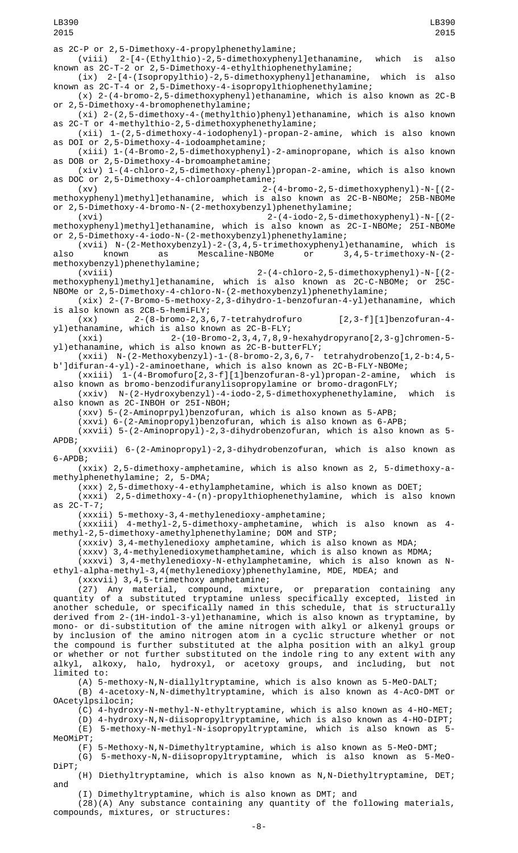LB390 2015

as 2C-P or 2,5-Dimethoxy-4-propylphenethylamine;

(viii) 2-[4-(Ethylthio)-2,5-dimethoxyphenyl]ethanamine, which is also known as 2C-T-2 or 2,5-Dimethoxy-4-ethylthiophenethylamine;

(ix) 2-[4-(Isopropylthio)-2,5-dimethoxyphenyl]ethanamine, which is also known as 2C-T-4 or 2,5-Dimethoxy-4-isopropylthiophenethylamine;

(x) 2-(4-bromo-2,5-dimethoxyphenyl)ethanamine, which is also known as 2C-B or 2,5-Dimethoxy-4-bromophenethylamine;

(xi) 2-(2,5-dimethoxy-4-(methylthio)phenyl)ethanamine, which is also known as 2C-T or 4-methylthio-2,5-dimethoxyphenethylamine;

(xii) 1-(2,5-dimethoxy-4-iodophenyl)-propan-2-amine, which is also known as DOI or 2,5-Dimethoxy-4-iodoamphetamine;

(xiii) 1-(4-Bromo-2,5-dimethoxyphenyl)-2-aminopropane, which is also known as DOB or 2,5-Dimethoxy-4-bromoamphetamine;

(xiv) 1-(4-chloro-2,5-dimethoxy-phenyl)propan-2-amine, which is also known as DOC or 2,5-Dimethoxy-4-chloroamphetamine;

(xv) 2-(4-bromo-2,5-dimethoxyphenyl)-N-[(2 methoxyphenyl)methyl]ethanamine, which is also known as 2C-B-NBOMe; 25B-NBOMe or 2,5-Dimethoxy-4-bromo-N-(2-methoxybenzyl)phenethylamine;

(xvi) 2-(4-iodo-2,5-dimethoxyphenyl)-N-[(2 methoxyphenyl)methyl]ethanamine, which is also known as 2C-I-NBOMe; 25I-NBOMe or 2,5-Dimethoxy-4-iodo-N-(2-methoxybenzyl)phenethylamine;

(xvii) N-(2-Methoxybenzyl)-2-(3,4,5-trimethoxyphenyl)ethanamine, which is also known as Mescaline-NBOMe or 3,4,5-trimethoxy-N-(2-

methoxybenzyl)phenethylamine; (xviii) 2-(4-chloro-2,5-dimethoxyphenyl)-N-[(2 methoxyphenyl)methyl]ethanamine, which is also known as 2C-C-NBOMe; or 25C-NBOMe or 2,5-Dimethoxy-4-chloro-N-(2-methoxybenzyl)phenethylamine;

(xix) 2-(7-Bromo-5-methoxy-2,3-dihydro-1-benzofuran-4-yl)ethanamine, which is also known as 2CB-5-hemiFLY;

(xx) 2-(8-bromo-2,3,6,7-tetrahydrofuro [2,3-f][1]benzofuran-4 yl)ethanamine, which is also known as 2C-B-FLY;

(xxi) 2-(10-Bromo-2,3,4,7,8,9-hexahydropyrano[2,3-g]chromen-5 yl)ethanamine, which is also known as 2C-B-butterFLY;

(xxii) N-(2-Methoxybenzyl)-1-(8-bromo-2,3,6,7- tetrahydrobenzo[1,2-b:4,5 b']difuran-4-yl)-2-aminoethane, which is also known as 2C-B-FLY-NBOMe;

(xxiii) 1-(4-Bromofuro[2,3-f][1]benzofuran-8-yl)propan-2-amine, which is also known as bromo-benzodifuranylisopropylamine or bromo-dragonFLY;

(xxiv) N-(2-Hydroxybenzyl)-4-iodo-2,5-dimethoxyphenethylamine, which is also known as 2C-INBOH or 25I-NBOH;

(xxv) 5-(2-Aminoprpyl)benzofuran, which is also known as 5-APB;

(xxvi) 6-(2-Aminopropyl)benzofuran, which is also known as 6-APB;

(xxvii) 5-(2-Aminopropyl)-2,3-dihydrobenzofuran, which is also known as 5- APDB;

(xxviii) 6-(2-Aminopropyl)-2,3-dihydrobenzofuran, which is also known as 6-APDB;

(xxix) 2,5-dimethoxy-amphetamine, which is also known as 2, 5-dimethoxy-amethylphenethylamine; 2, 5-DMA;

(xxx) 2,5-dimethoxy-4-ethylamphetamine, which is also known as DOET;

(xxxi) 2,5-dimethoxy-4-(n)-propylthiophenethylamine, which is also known as 2C-T-7;

(xxxii) 5-methoxy-3,4-methylenedioxy-amphetamine;

(xxxiii) 4-methyl-2,5-dimethoxy-amphetamine, which is also known as 4 methyl-2,5-dimethoxy-amethylphenethylamine; DOM and STP;

(xxxiv) 3,4-methylenedioxy amphetamine, which is also known as MDA;

(xxxv) 3,4-methylenedioxymethamphetamine, which is also known as MDMA;

(xxxvi) 3,4-methylenedioxy-N-ethylamphetamine, which is also known as Nethyl-alpha-methyl-3,4(methylenedioxy)phenethylamine, MDE, MDEA; and

(xxxvii) 3,4,5-trimethoxy amphetamine;

(27) Any material, compound, mixture, or preparation containing any quantity of a substituted tryptamine unless specifically excepted, listed in another schedule, or specifically named in this schedule, that is structurally derived from 2-(1H-indol-3-yl)ethanamine, which is also known as tryptamine, by mono- or di-substitution of the amine nitrogen with alkyl or alkenyl groups or by inclusion of the amino nitrogen atom in a cyclic structure whether or not the compound is further substituted at the alpha position with an alkyl group or whether or not further substituted on the indole ring to any extent with any alkyl, alkoxy, halo, hydroxyl, or acetoxy groups, and including, but not limited to:

(A) 5-methoxy-N, N-diallyltryptamine, which is also known as 5-MeO-DALT;

(B) 4-acetoxy-N,N-dimethyltryptamine, which is also known as 4-AcO-DMT or OAcetylpsilocin;

(C) 4-hydroxy-N-methyl-N-ethyltryptamine, which is also known as 4-HO-MET;

(D) 4-hydroxy-N,N-diisopropyltryptamine, which is also known as 4-HO-DIPT; (E) 5-methoxy-N-methyl-N-isopropyltryptamine, which is also known as 5- MeOMiPT;

(F) 5-Methoxy-N,N-Dimethyltryptamine, which is also known as 5-MeO-DMT; (G) 5-methoxy-N,N-diisopropyltryptamine, which is also known as 5-MeO-DiPT;

(H) Diethyltryptamine, which is also known as N,N-Diethyltryptamine, DET; and

(I) Dimethyltryptamine, which is also known as DMT; and

(28)(A) Any substance containing any quantity of the following materials, compounds, mixtures, or structures: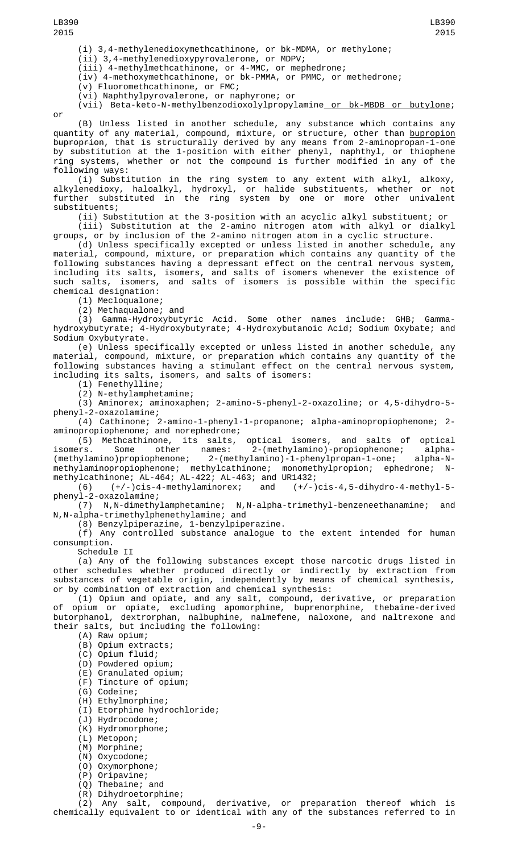or

(i) 3,4-methylenedioxymethcathinone, or bk-MDMA, or methylone;

(ii) 3,4-methylenedioxypyrovalerone, or MDPV;

(iii) 4-methylmethcathinone, or 4-MMC, or mephedrone;

(iv) 4-methoxymethcathinone, or bk-PMMA, or PMMC, or methedrone;

(v) Fluoromethcathinone, or FMC;

(vi) Naphthylpyrovalerone, or naphyrone; or

(vii) Beta-keto-N-methylbenzodioxolylpropylamine or bk-MBDB or butylone;

LB390 2015

(B) Unless listed in another schedule, any substance which contains any quantity of any material, compound, mixture, or structure, other than <u>bupropion</u> <del>buproprion</del>, that is structurally derived by any means from 2-aminopropan-1-one by substitution at the 1-position with either phenyl, naphthyl, or thiophene ring systems, whether or not the compound is further modified in any of the following ways:

(i) Substitution in the ring system to any extent with alkyl, alkoxy, alkylenedioxy, haloalkyl, hydroxyl, or halide substituents, whether or not further substituted in the ring system by one or more other univalent substituents;

(ii) Substitution at the 3-position with an acyclic alkyl substituent; or (iii) Substitution at the 2-amino nitrogen atom with alkyl or dialkyl groups, or by inclusion of the 2-amino nitrogen atom in a cyclic structure.

(d) Unless specifically excepted or unless listed in another schedule, any material, compound, mixture, or preparation which contains any quantity of the following substances having a depressant effect on the central nervous system, including its salts, isomers, and salts of isomers whenever the existence of such salts, isomers, and salts of isomers is possible within the specific chemical designation:

(1) Mecloqualone;

(2) Methaqualone; and

(3) Gamma-Hydroxybutyric Acid. Some other names include: GHB; Gammahydroxybutyrate; 4-Hydroxybutyrate; 4-Hydroxybutanoic Acid; Sodium Oxybate; and Sodium Oxybutyrate.

(e) Unless specifically excepted or unless listed in another schedule, any material, compound, mixture, or preparation which contains any quantity of the following substances having a stimulant effect on the central nervous system, including its salts, isomers, and salts of isomers:

(1) Fenethylline;

(2) N-ethylamphetamine;

(3) Aminorex; aminoxaphen; 2-amino-5-phenyl-2-oxazoline; or 4,5-dihydro-5 phenyl-2-oxazolamine;

(4) Cathinone; 2-amino-1-phenyl-1-propanone; alpha-aminopropiophenone; 2 aminopropiophenone; and norephedrone;

(5) Methcathinone, its salts, optical isomers, and salts of optical isomers. Some other names: 2-(methylamino)-propiophenone; alpha- (methylamino)propiophenone; 2-(methylamino)-1-phenylpropan-1-one; alpha-Nmethylaminopropiophenone; methylcathinone; monomethylpropion; ephedrone; Nmethylcathinone; AL-464; AL-422; AL-463; and UR1432;

(6) (+/-)cis-4-methylaminorex; and (+/-)cis-4,5-dihydro-4-methyl-5 phenyl-2-oxazolamine;

(7) N,N-dimethylamphetamine; N,N-alpha-trimethyl-benzeneethanamine; and N,N-alpha-trimethylphenethylamine; and

(8) Benzylpiperazine, 1-benzylpiperazine.

(f) Any controlled substance analogue to the extent intended for human consumption.

Schedule II

(a) Any of the following substances except those narcotic drugs listed in other schedules whether produced directly or indirectly by extraction from substances of vegetable origin, independently by means of chemical synthesis, or by combination of extraction and chemical synthesis:

(1) Opium and opiate, and any salt, compound, derivative, or preparation opium or opiate, excluding apomorphine, buprenorphine, thebaine-derived butorphanol, dextrorphan, nalbuphine, nalmefene, naloxone, and naltrexone and their salts, but including the following:

(A) Raw opium;

- (B) Opium extracts;
- (C) Opium fluid;
- (D) Powdered opium;
- (E) Granulated opium;
- (F) Tincture of opium;
- (G) Codeine;
- (H) Ethylmorphine;
- (I) Etorphine hydrochloride;
- (J) Hydrocodone;
- (K) Hydromorphone;
- (L) Metopon;
- (M) Morphine;
- (N) Oxycodone;
- (O) Oxymorphone;
- 
- (P) Oripavine; Thebaine; and
- (R) Dihydroetorphine;

(2) Any salt, compound, derivative, or preparation thereof which is chemically equivalent to or identical with any of the substances referred to in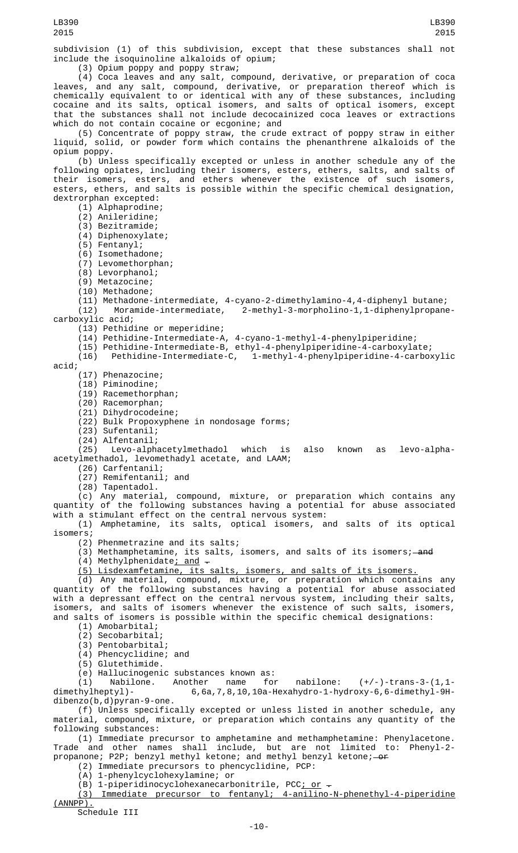subdivision (1) of this subdivision, except that these substances shall not include the isoquinoline alkaloids of opium;

(3) Opium poppy and poppy straw;

(4) Coca leaves and any salt, compound, derivative, or preparation of coca leaves, and any salt, compound, derivative, or preparation thereof which is chemically equivalent to or identical with any of these substances, including cocaine and its salts, optical isomers, and salts of optical isomers, except that the substances shall not include decocainized coca leaves or extractions which do not contain cocaine or ecgonine; and

(5) Concentrate of poppy straw, the crude extract of poppy straw in either liquid, solid, or powder form which contains the phenanthrene alkaloids of the opium poppy.

(b) Unless specifically excepted or unless in another schedule any of the following opiates, including their isomers, esters, ethers, salts, and salts of their isomers, esters, and ethers whenever the existence of such isomers, esters, ethers, and salts is possible within the specific chemical designation, dextrorphan excepted:

(1) Alphaprodine;

(2) Anileridine;

(3) Bezitramide;

(4) Diphenoxylate;

(5) Fentanyl;

(6) Isomethadone;

(7) Levomethorphan;

(8) Levorphanol;

(9) Metazocine;

(10) Methadone;

(11) Methadone-intermediate, 4-cyano-2-dimethylamino-4,4-diphenyl butane; 2-methyl-3-morpholino-1,1-diphenylpropanecarboxylic acid;

(13) Pethidine or meperidine;

(14) Pethidine-Intermediate-A, 4-cyano-1-methyl-4-phenylpiperidine;

(15) Pethidine-Intermediate-B, ethyl-4-phenylpiperidine-4-carboxylate;

(16) Pethidine-Intermediate-C, 1-methyl-4-phenylpiperidine-4-carboxylic

acid;

(17) Phenazocine;

(18) Piminodine;

(19) Racemethorphan;

(20) Racemorphan;

(21) Dihydrocodeine;

(22) Bulk Propoxyphene in nondosage forms;

(23) Sufentanil;

(24) Alfentanil;

(25) Levo-alphacetylmethadol which is also known as levo-alphaacetylmethadol, levomethadyl acetate, and LAAM;

(26) Carfentanil;

(27) Remifentanil; and (28) Tapentadol.

(c) Any material, compound, mixture, or preparation which contains any quantity of the following substances having a potential for abuse associated with a stimulant effect on the central nervous system:

(1) Amphetamine, its salts, optical isomers, and salts of its optical isomers;

(2) Phenmetrazine and its salts;

(3) Methamphetamine, its salts, isomers, and salts of its isomers;—a<del>n</del>d

(4) Methylphenidate<u>; and</u>  $\overline{\phantom{a}}$ 

(5) Lisdexamfetamine, its salts, isomers, and salts of its isomers.

(d) Any material, compound, mixture, or preparation which contains any quantity of the following substances having a potential for abuse associated with a depressant effect on the central nervous system, including their salts, isomers, and salts of isomers whenever the existence of such salts, isomers,

and salts of isomers is possible within the specific chemical designations:

(1) Amobarbital;

(2) Secobarbital;

(3) Pentobarbital;

(4) Phencyclidine; and

(5) Glutethimide.

(e) Hallucinogenic substances known as:

(1) Nabilone. Another name for nabilone:  $(+/-)$ -trans-3-(1,1-dimethylheptyl)- 6,6a,7,8,10,10a-Hexahydro-1-hydroxy-6,6-dimethyl-9H- $6,6a,7,8,10,10a$ -Hexahydro-1-hydroxy-6,6-dimethyl-9Hdibenzo(b,d)pyran-9-one.

(f) Unless specifically excepted or unless listed in another schedule, any material, compound, mixture, or preparation which contains any quantity of the following substances:

(1) Immediate precursor to amphetamine and methamphetamine: Phenylacetone. Trade and other names shall include, but are not limited to: Phenyl-2 propanone; P2P; benzyl methyl ketone; and methyl benzyl ketone;—<del>or</del>

(2) Immediate precursors to phencyclidine, PCP:

(A) 1-phenylcyclohexylamine; or

(B) 1-piperidinocyclohexanecarbonitrile, PCC<u>; or</u>  $\overline{\cdot}$ 

(3) Immediate precursor to fentanyl; 4-anilino-N-phenethyl-4-piperidine (ANNPP).

Schedule III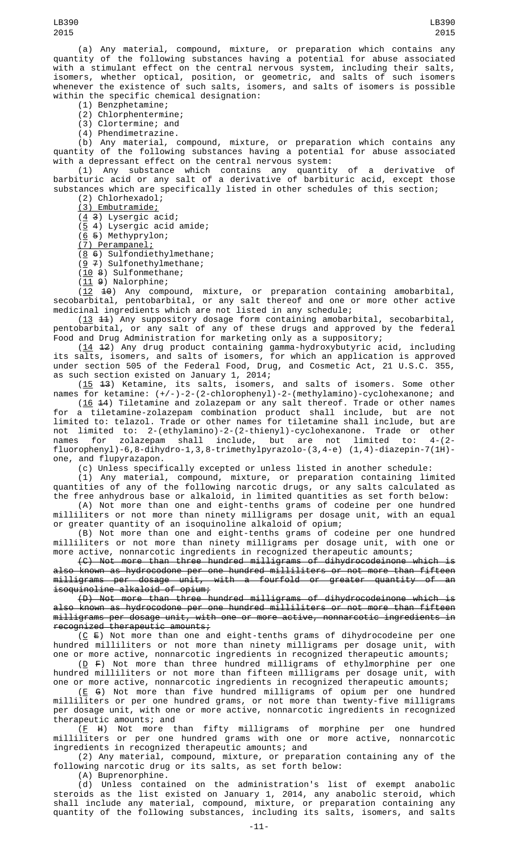LB390 2015

with a stimulant effect on the central nervous system, including their salts, isomers, whether optical, position, or geometric, and salts of such isomers whenever the existence of such salts, isomers, and salts of isomers is possible within the specific chemical designation:

(1) Benzphetamine;

(2) Chlorphentermine;

(3) Clortermine; and

(4) Phendimetrazine.

(b) Any material, compound, mixture, or preparation which contains any quantity of the following substances having a potential for abuse associated with a depressant effect on the central nervous system:

(1) Any substance which contains any quantity of a derivative of barbituric acid or any salt of a derivative of barbituric acid, except those substances which are specifically listed in other schedules of this section;

(2) Chlorhexadol;

(3) Embutramide;

 $(4 3)$  Lysergic acid;

(5 4) Lysergic acid amide;

 $(6 5)$  Methyprylon;

(7) Perampanel;

 $(8 6)$  Sulfondiethylmethane;

 $(97)$  Sulfonethylmethane;  $(10 8)$  Sulfonmethane;

 $(11 9)$  Nalorphine;

 $(12 \t 10)$  Any compound, mixture, or preparation containing amobarbital, secobarbital, pentobarbital, or any salt thereof and one or more other active medicinal ingredients which are not listed in any schedule;

 $(13 \t41)$  Any suppository dosage form containing amobarbital, secobarbital, pentobarbital, or any salt of any of these drugs and approved by the federal Food and Drug Administration for marketing only as a suppository;

 $(14 \t 12)$  Any drug product containing gamma-hydroxybutyric acid, including its salts, isomers, and salts of isomers, for which an application is approved under section 505 of the Federal Food, Drug, and Cosmetic Act, 21 U.S.C. 355, as such section existed on January 1, 2014;

 $(15\; 43)$  Ketamine, its salts, isomers, and salts of isomers. Some other names for ketamine: (+/-)-2-(2-chlorophenyl)-2-(methylamino)-cyclohexanone; and

(16 14) Tiletamine and zolazepam or any salt thereof. Trade or other names for a tiletamine-zolazepam combination product shall include, but are not limited to: telazol. Trade or other names for tiletamine shall include, but are not limited to: 2-(ethylamino)-2-(2-thienyl)-cyclohexanone. Trade or other names for zolazepam shall include, but are not limited to: 4-(2 fluorophenyl)-6,8-dihydro-1,3,8-trimethylpyrazolo-(3,4-e) (1,4)-diazepin-7(1H)one, and flupyrazapon.

(c) Unless specifically excepted or unless listed in another schedule:

(1) Any material, compound, mixture, or preparation containing limited quantities of any of the following narcotic drugs, or any salts calculated as the free anhydrous base or alkaloid, in limited quantities as set forth below:

(A) Not more than one and eight-tenths grams of codeine per one hundred milliliters or not more than ninety milligrams per dosage unit, with an equal or greater quantity of an isoquinoline alkaloid of opium;

(B) Not more than one and eight-tenths grams of codeine per one hundred milliliters or not more than ninety milligrams per dosage unit, with one or more active, nonnarcotic ingredients in recognized therapeutic amounts;

(C) Not more than three hundred milligrams of dihydrocodeinone which is also known as hydrocodone per one hundred milliliters or not more than fifteen milligrams per dosage unit, with a fourfold or greater quantity of an isoquinoline alkaloid of opium;

(D) Not more than three hundred milligrams of dihydrocodeinone which is also known as hydrocodone per one hundred milliliters or not more than fifteen milligrams per dosage unit, with one or more active, nonnarcotic ingredients in recognized therapeutic amounts;

 $(C \nE)$  Not more than one and eight-tenths grams of dihydrocodeine per one hundred milliliters or not more than ninety milligrams per dosage unit, with one or more active, nonnarcotic ingredients in recognized therapeutic amounts;

 $(D F)$  Not more than three hundred milligrams of ethylmorphine per one hundred milliliters or not more than fifteen milligrams per dosage unit, with one or more active, nonnarcotic ingredients in recognized therapeutic amounts;

(E G) Not more than five hundred milligrams of opium per one hundred milliliters or per one hundred grams, or not more than twenty-five milligrams per dosage unit, with one or more active, nonnarcotic ingredients in recognized therapeutic amounts; and

(F H) Not more than fifty milligrams of morphine per one hundred milliliters or per one hundred grams with one or more active, nonnarcotic ingredients in recognized therapeutic amounts; and

(2) Any material, compound, mixture, or preparation containing any of the following narcotic drug or its salts, as set forth below:

(A) Buprenorphine.

(d) Unless contained on the administration's list of exempt anabolic steroids as the list existed on January 1, 2014, any anabolic steroid, which shall include any material, compound, mixture, or preparation containing any quantity of the following substances, including its salts, isomers, and salts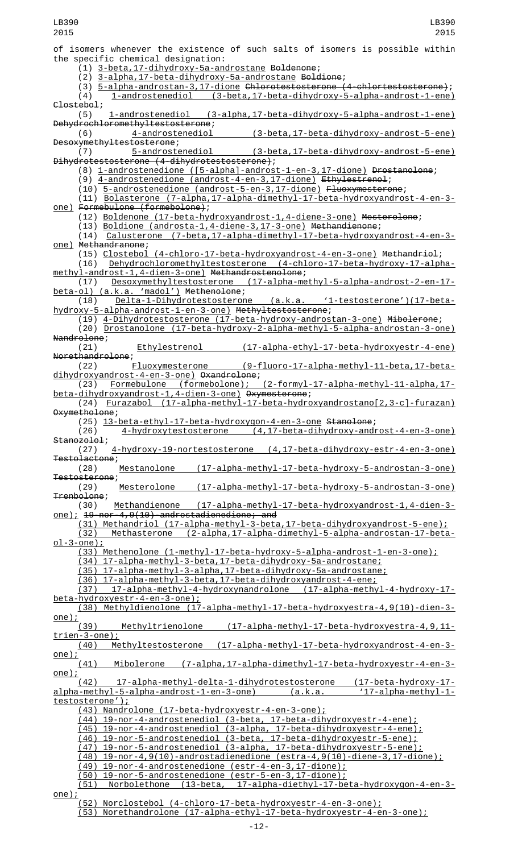of isomers whenever the existence of such salts of isomers is possible within the specific chemical designation: (1) 3-beta,17-dihydroxy-5a-androstane Boldenone; (2) 3-alpha,17-beta-dihydroxy-5a-androstane Boldione; (3) 5-alpha-androstan-3,17-dione Chlorotestosterone (4-chlortestosterone); (4) 1-androstenediol (3-beta,17-beta-dihydroxy-5-alpha-androst-1-ene)  $\frac{C\text{lostebo1}}{(5)}$ (5) 1-androstenediol (3-alpha,17-beta-dihydroxy-5-alpha-androst-1-ene) Dehydrochloromethyltestosterone;<br>(6) 4-androstenediol (3-beta,17-beta-dihydroxy-androst-5-ene) Desoxymethyltestosterone;<br>(7) 5-androstenediol (3-beta,17-beta-dihydroxy-androst-5-ene) Dihydrotestosterone (4-dihydrotestosterone); (8) 1-androstenedione ([5-alpha]-androst-1-en-3,17-dione) Drostanolone; (9) 4-androstenedione (androst-4-en-3,17-dione) Ethylestrenol; (10) 5-androstenedione (androst-5-en-3,17-dione) Fluoxymesterone; (11) Bolasterone (7-alpha,17-alpha-dimethyl-17-beta-hydroxyandrost-4-en-3 one) Formebulone (formebolone); (12) Boldenone (17-beta-hydroxyandrost-1,4-diene-3-one) Mesterolone; (13) Boldione (androsta-1,4-diene-3,17-3-one) Methandienone; (14) Calusterone (7-beta,17-alpha-dimethyl-17-beta-hydroxyandrost-4-en-3 one) Methandranone; (15) Clostebol (4-chloro-17-beta-hydroxyandrost-4-en-3-one) Methandriol; (16) Dehydrochloromethyltestosterone (4-chloro-17-beta-hydroxy-17-alphamethyl-androst-1,4-dien-3-one) Methandrostenolone;<br>(17) Desoxymethyltestosterone (17-alpha-me (17) Desoxymethyltestosterone (17-alpha-methyl-5-alpha-androst-2-en-17-<br>beta-ol) (a.k.a. 'madol') Methenolone; Desoxymethyltestosterone<br>(a.k.a. 'madol') Methenolone; (18) Delta-1-Dihydrotestosterone (a.k.a. '1-testosterone')(17-betahydroxy-5-alpha-androst-1-en-3-one) Methyltestosterone; (19) 4-Dihydrotestosterone (17-beta-hydroxy-androstan-3-one) Mibolerone; (20) Drostanolone (17-beta-hydroxy-2-alpha-methyl-5-alpha-androstan-3-one) Nandrolone;<br>(21) (21) Ethylestrenol (17-alpha-ethyl-17-beta-hydroxyestr-4-ene) Norethandrolone; (22) Fluoxymesterone (9-fluoro-17-alpha-methyl-11-beta,17-betadihydroxyandrost-4-en-3-one) Oxandrolone;<br>(23) Eormebulone (formebolone); (23) Formebulone (formebolone); (2-formyl-17-alpha-methyl-11-alpha,17 beta-dihydroxyandrost-1,4-dien-3-one) Oxymesterone; (24) Furazabol (17-alpha-methyl-17-beta-hydroxyandrostano[2,3-c]-furazan) Oxymetholone; (25) 13-beta-ethyl-17-beta-hydroxygon-4-en-3-one Stanolone; (26) 4-hydroxytestosterone (4,17-beta-dihydroxy-androst-4-en-3-one) Stanozolol;<br>(27) (27) 4-hydroxy-19-nortestosterone (4,17-beta-dihydroxy-estr-4-en-3-one) Testolactone; (17-alpha-methyl-17-beta-hydroxy-5-androstan-3-one) Testosterone;<br>(29) Mesterolone (17-alpha-methyl-17-beta-hydroxy-5-androstan-3-one) Trenbolone; Methandienone (17-alpha-methyl-17-beta-hydroxyandrost-1,4-dien-3one); 19-nor-4,9(10)-androstadienedione; and (31) Methandriol (17-alpha-methyl-3-beta,17-beta-dihydroxyandrost-5-ene); (32) Methasterone (2-alpha,17-alpha-dimethyl-5-alpha-androstan-17-betaol-3-one); (33) Methenolone (1-methyl-17-beta-hydroxy-5-alpha-androst-1-en-3-one); (34) 17-alpha-methyl-3-beta,17-beta-dihydroxy-5a-androstane; (35) 17-alpha-methyl-3-alpha,17-beta-dihydroxy-5a-androstane; (36) 17-alpha-methyl-3-beta,17-beta-dihydroxyandrost-4-ene; (37) 17-alpha-methyl-4-hydroxynandrolone (17-alpha-methyl-4-hydroxy-17 beta-hydroxyestr-4-en-3-one); (38) Methyldienolone (17-alpha-methyl-17-beta-hydroxyestra-4,9(10)-dien-3-  $\frac{\text{one}}{\cancel{(39)}}$ (39) Methyltrienolone (17-alpha-methyl-17-beta-hydroxyestra-4,9,11 trien-3-one); (40) Methyltestosterone (17-alpha-methyl-17-beta-hydroxyandrost-4-en-3  $rac{one}{(41)}$ (41) Mibolerone (7-alpha,17-alpha-dimethyl-17-beta-hydroxyestr-4-en-3-  $\frac{\text{one}}{\text{0}}$ ;<br>(42) 17-alpha-methyl-delta-1-dihydrotestosterone (17-beta-hydroxy-17-<br>-5-alpha-androst-1-en-3-one) (a.k.a. '17-alpha-methyl-1alpha-methyl-5-alpha-androst-1-en-3-one) (a.k.a testosterone'); (43) Nandrolone (17-beta-hydroxyestr-4-en-3-one); (44) 19-nor-4-androstenediol (3-beta, 17-beta-dihydroxyestr-4-ene); (45) 19-nor-4-androstenediol (3-alpha, 17-beta-dihydroxyestr-4-ene); (46) 19-nor-5-androstenediol (3-beta, 17-beta-dihydroxyestr-5-ene); (47) 19-nor-5-androstenediol (3-alpha, 17-beta-dihydroxyestr-5-ene); (48) 19-nor-4,9(10)-androstadienedione (estra-4,9(10)-diene-3,17-dione); (49) 19-nor-4-androstenedione (estr-4-en-3,17-dione); (50) 19-nor-5-androstenedione (estr-5-en-3,17-dione); 17-alpha-diethyl-17-beta-hydroxygon-4-en-3one); (52) Norclostebol (4-chloro-17-beta-hydroxyestr-4-en-3-one); LB390 2015 LB390 2015

(53) Norethandrolone (17-alpha-ethyl-17-beta-hydroxyestr-4-en-3-one);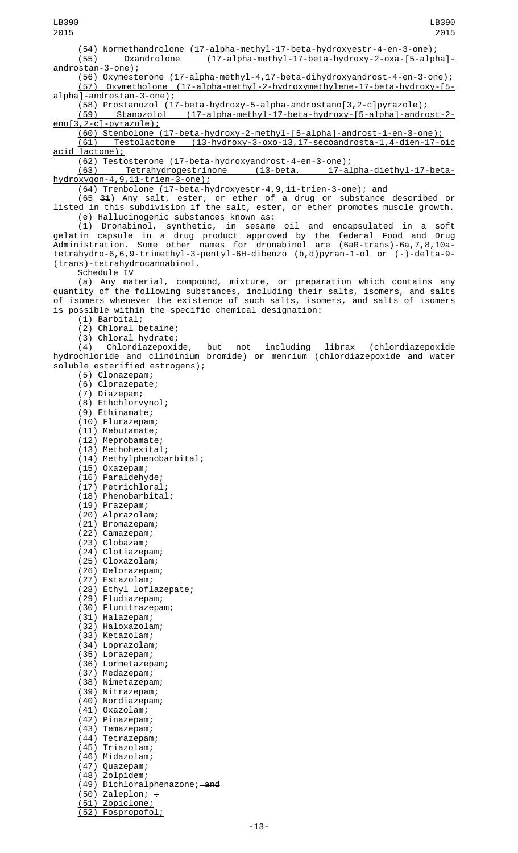(54) Normethandrolone (17-alpha-methyl-17-beta-hydroxyestr-4-en-3-one); (55) Oxandrolone (17-alpha-methyl-17-beta-hydroxy-2-oxa-[5-alpha] androstan-3-one); (56) Oxymesterone (17-alpha-methyl-4,17-beta-dihydroxyandrost-4-en-3-one); (57) Oxymetholone (17-alpha-methyl-2-hydroxymethylene-17-beta-hydroxy-[5 alpha]-androstan-3-one); (58) Prostanozol (17-beta-hydroxy-5-alpha-androstano[3,2-c]pyrazole); (59) Stanozolol (17-alpha-methyl-17-beta-hydroxy-[5-alpha]-androst-2 eno[3,2-c]-pyrazole); (60) Stenbolone (17-beta-hydroxy-2-methyl-[5-alpha]-androst-1-en-3-one); (61) Testolactone (13-hydroxy-3-oxo-13,17-secoandrosta-1,4-dien-17-oic acid lactone); (62) Testosterone (17-beta-hydroxyandrost-4-en-3-one); Tetrahydrogestrinone (13-beta, hydroxygon-4,9,11-trien-3-one); (64) Trenbolone (17-beta-hydroxyestr-4,9,11-trien-3-one); and  $(65$  31) Any salt, ester, or ether of a drug or substance described or listed in this subdivision if the salt, ester, or ether promotes muscle growth. (e) Hallucinogenic substances known as: (1) Dronabinol, synthetic, in sesame oil and encapsulated in a soft gelatin capsule in a drug product approved by the federal Food and Drug Administration. Some other names for dronabinol are (6aR-trans)-6a,7,8,10atetrahydro-6,6,9-trimethyl-3-pentyl-6H-dibenzo (b,d)pyran-1-ol or (-)-delta-9- (trans)-tetrahydrocannabinol. Schedule IV (a) Any material, compound, mixture, or preparation which contains any quantity of the following substances, including their salts, isomers, and salts of isomers whenever the existence of such salts, isomers, and salts of isomers is possible within the specific chemical designation: (1) Barbital; (2) Chloral betaine; (3) Chloral hydrate; (4) Chlordiazepoxide, but not including librax (chlordiazepoxide hydrochloride and clindinium bromide) or menrium (chlordiazepoxide and water soluble esterified estrogens); (5) Clonazepam; (6) Clorazepate; (7) Diazepam; (8) Ethchlorvynol; (9) Ethinamate; (10) Flurazepam; (11) Mebutamate; (12) Meprobamate; (13) Methohexital; (14) Methylphenobarbital; (15) Oxazepam; (16) Paraldehyde; (17) Petrichloral; (18) Phenobarbital; (19) Prazepam; (20) Alprazolam; (21) Bromazepam; (22) Camazepam; (23) Clobazam; (24) Clotiazepam; (25) Cloxazolam; (26) Delorazepam; (27) Estazolam; (28) Ethyl loflazepate; (29) Fludiazepam; (30) Flunitrazepam; (31) Halazepam; (32) Haloxazolam; (33) Ketazolam; (34) Loprazolam; (35) Lorazepam; (36) Lormetazepam; (37) Medazepam; (38) Nimetazepam; (39) Nitrazepam; (40) Nordiazepam; (41) Oxazolam; (42) Pinazepam; (43) Temazepam; (44) Tetrazepam; (45) Triazolam; (46) Midazolam; (47) Quazepam; LB390 2015 LB390

(48) Zolpidem;

 $(50)$  Zaleplon,  $-$ (51) Zopiclone; (52) Fospropofol;

 $(49)$  Dichloralphenazone;  $-$ and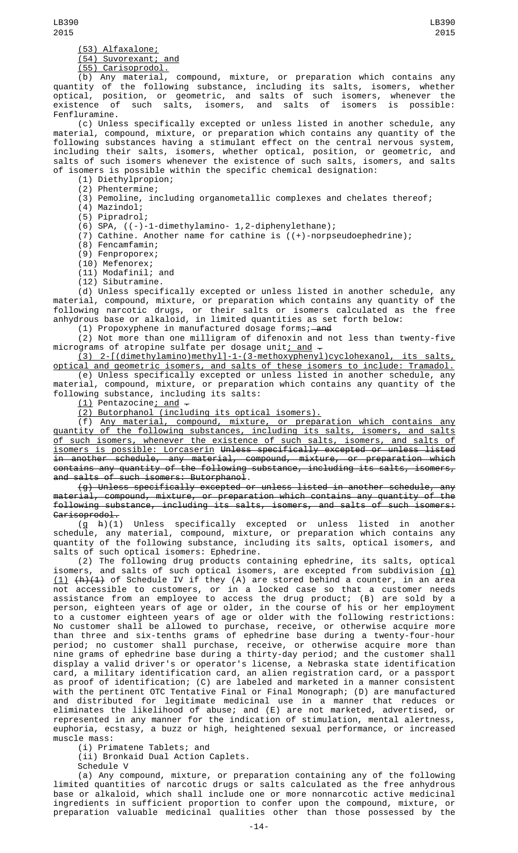(53) Alfaxalone;

(54) Suvorexant; and

(55) Carisoprodol.

(b) Any material, compound, mixture, or preparation which contains any quantity of the following substance, including its salts, isomers, whether optical, position, or geometric, and salts of such isomers, whenever the existence of such salts, isomers, and salts of isomers is possible: Fenfluramine.

(c) Unless specifically excepted or unless listed in another schedule, any material, compound, mixture, or preparation which contains any quantity of the following substances having a stimulant effect on the central nervous system, including their salts, isomers, whether optical, position, or geometric, and salts of such isomers whenever the existence of such salts, isomers, and salts of isomers is possible within the specific chemical designation:

(1) Diethylpropion;

(2) Phentermine;

(3) Pemoline, including organometallic complexes and chelates thereof;

(4) Mazindol;

(5) Pipradrol;

(6) SPA, ((-)-1-dimethylamino- 1,2-diphenylethane);

(7) Cathine. Another name for cathine is ((+)-norpseudoephedrine);

(8) Fencamfamin;

(9) Fenproporex;

(10) Mefenorex;

(11) Modafinil; and

(12) Sibutramine.

(d) Unless specifically excepted or unless listed in another schedule, any material, compound, mixture, or preparation which contains any quantity of the following narcotic drugs, or their salts or isomers calculated as the free anhydrous base or alkaloid, in limited quantities as set forth below:

(1) Propoxyphene in manufactured dosage forms; and

(2) Not more than one milligram of difenoxin and not less than twenty-five micrograms of atropine sulfate per dosage unit<u>; and</u>  $\hbox{\large -}$ 

(3) 2-[(dimethylamino)methyl]-1-(3-methoxyphenyl)cyclohexanol, its salts, optical and geometric isomers, and salts of these isomers to include: Tramadol. (e) Unless specifically excepted or unless listed in another schedule, any material, compound, mixture, or preparation which contains any quantity of the

following substance, including its salts:

<u>(1)</u> Pentazocine<u>; and</u>  $\overline{\cdot}$ 

(2) Butorphanol (including its optical isomers).

(f) Any material, compound, mixture, or preparation which contains any quantity of the following substances, including its salts, isomers, and salts of such isomers, whenever the existence of such salts, isomers, and salts of isomers is possible: Lorcaserin Unless specifically excepted or unless listed in another schedule, any material, compound, mixture, or preparation which contains any quantity of the following substance, including its salts, isomers, and salts of such isomers: Butorphanol.

(g) Unless specifically excepted or unless listed in another schedule, any material, compound, mixture, or preparation which contains any quantity of the following substance, including its salts, isomers, and salts of such isomers: Carisoprodol.

(g h)(1) Unless specifically excepted or unless listed in another schedule, any material, compound, mixture, or preparation which contains any quantity of the following substance, including its salts, optical isomers, and salts of such optical isomers: Ephedrine.

(2) The following drug products containing ephedrine, its salts, optical isomers, and salts of such optical isomers, are excepted from subdivision  $\bf (g)$ (1) (h)(1) of Schedule IV if they (A) are stored behind a counter, in an area not accessible to customers, or in a locked case so that a customer needs assistance from an employee to access the drug product; (B) are sold by a person, eighteen years of age or older, in the course of his or her employment to a customer eighteen years of age or older with the following restrictions: No customer shall be allowed to purchase, receive, or otherwise acquire more than three and six-tenths grams of ephedrine base during a twenty-four-hour period; no customer shall purchase, receive, or otherwise acquire more than nine grams of ephedrine base during a thirty-day period; and the customer shall display a valid driver's or operator's license, a Nebraska state identification card, a military identification card, an alien registration card, or a passport as proof of identification; (C) are labeled and marketed in a manner consistent with the pertinent OTC Tentative Final or Final Monograph; (D) are manufactured and distributed for legitimate medicinal use in a manner that reduces or eliminates the likelihood of abuse; and (E) are not marketed, advertised, or represented in any manner for the indication of stimulation, mental alertness, euphoria, ecstasy, a buzz or high, heightened sexual performance, or increased muscle mass:

(i) Primatene Tablets; and

(ii) Bronkaid Dual Action Caplets.

Schedule V

(a) Any compound, mixture, or preparation containing any of the following limited quantities of narcotic drugs or salts calculated as the free anhydrous base or alkaloid, which shall include one or more nonnarcotic active medicinal ingredients in sufficient proportion to confer upon the compound, mixture, or preparation valuable medicinal qualities other than those possessed by the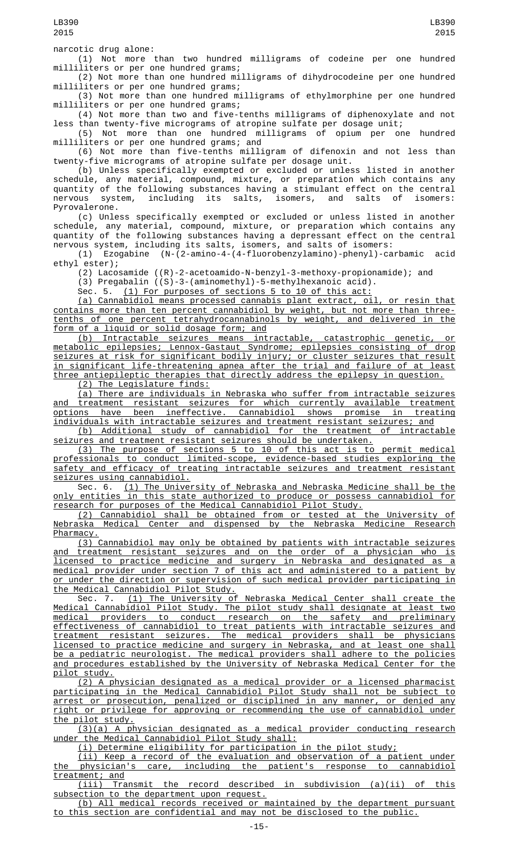narcotic drug alone:

(1) Not more than two hundred milligrams of codeine per one hundred milliliters or per one hundred grams;

(2) Not more than one hundred milligrams of dihydrocodeine per one hundred milliliters or per one hundred grams;

(3) Not more than one hundred milligrams of ethylmorphine per one hundred milliliters or per one hundred grams;

(4) Not more than two and five-tenths milligrams of diphenoxylate and not less than twenty-five micrograms of atropine sulfate per dosage unit;

(5) Not more than one hundred milligrams of opium per one hundred milliliters or per one hundred grams; and

(6) Not more than five-tenths milligram of difenoxin and not less than twenty-five micrograms of atropine sulfate per dosage unit.

(b) Unless specifically exempted or excluded or unless listed in another schedule, any material, compound, mixture, or preparation which contains any quantity of the following substances having a stimulant effect on the central nervous system, including its salts, isomers, and salts of isomers: Pyrovalerone.

(c) Unless specifically exempted or excluded or unless listed in another schedule, any material, compound, mixture, or preparation which contains any quantity of the following substances having a depressant effect on the central nervous system, including its salts, isomers, and salts of isomers:

(1) Ezogabine (N-(2-amino-4-(4-fluorobenzylamino)-phenyl)-carbamic acid ethyl ester);

(2) Lacosamide ((R)-2-acetoamido-N-benzyl-3-methoxy-propionamide); and

(3) Pregabalin ((S)-3-(aminomethyl)-5-methylhexanoic acid).

Sec. 5. (1) For purposes of sections 5 to 10 of this act

(a) Cannabidiol means processed cannabis plant extract, oil, or resin that contains more than ten percent cannabidiol by weight, but not more than threetenths of one percent tetrahydrocannabinols by weight, and delivered in the form of a liquid or solid dosage form; and

(b) Intractable seizures means intractable, catastrophic genetic, or metabolic epilepsies; Lennox-Gastaut Syndrome; epilepsies consisting of drop seizures at risk for significant bodily injury; or cluster seizures that result in significant life-threatening apnea after the trial and failure of at least three antiepileptic therapies that directly address the epilepsy in question.

(2) The Legislature finds:

(a) There are individuals in Nebraska who suffer from intractable seizures and treatment resistant seizures for which currently available treatment options have been ineffective. Cannabidiol shows promise in treating individuals with intractable seizures and treatment resistant seizures; and

(b) Additional study of cannabidiol for the treatment of intractable seizures and treatment resistant seizures should be undertaken.

(3) The purpose of sections 5 to 10 of this act is to permit medical professionals to conduct limited-scope, evidence-based studies exploring the safety and efficacy of treating intractable seizures and treatment resistant seizures using cannabidiol.

Sec. 6.  $(1)$  The University of Nebraska and Nebraska Medicine shall be the only entities in this state authorized to produce or possess cannabidiol for research for purposes of the Medical Cannabidiol Pilot Study.

<u>(2) Cannabidiol shall be obtained from or tested at the University of Nebraska Medical Center and dispensed by the Nebraska Medicine Research</u> Center and dispensed by the Nebraska Medicine Research Pharmacy.

(3) Cannabidiol may only be obtained by patients with intractable seizures and treatment resistant seizures and on the order of a physician who is licensed to practice medicine and surgery in Nebraska and designated as a medical provider under section 7 of this act and administered to a patient by or under the direction or supervision of such medical provider participating in the Medical Cannabidiol Pilot Study.

Sec. 7. <u>(1) The University of Nebraska Medical Center shall create the</u> Medical Cannabidiol Pilot Study. The pilot study shall designate at least two medical providers to conduct research on the safety and preliminary effectiveness of cannabidiol to treat patients with intractable seizures and treatment resistant seizures. The medical providers shall be physicians licensed to practice medicine and surgery in Nebraska, and at least one shall be a pediatric neurologist. The medical providers shall adhere to the policies and procedures established by the University of Nebraska Medical Center for the pilot study.

(2) A physician designated as a medical provider or a licensed pharmacist participating in the Medical Cannabidiol Pilot Study shall not be subject to arrest or prosecution, penalized or disciplined in any manner, or denied any right or privilege for approving or recommending the use of cannabidiol under the pilot study.

(3)(a) A physician designated as a medical provider conducting research under the Medical Cannabidiol Pilot Study shall:

(i) Determine eligibility for participation in the pilot study;

(ii) Keep a record of the evaluation and observation of a patient under the physician's care, including the patient's response to cannabidiol treatment; and

(iii) Transmit the record described in subdivision (a)(ii) of this subsection to the department upon request.

(b) All medical records received or maintained by the department pursuant to this section are confidential and may not be disclosed to the public.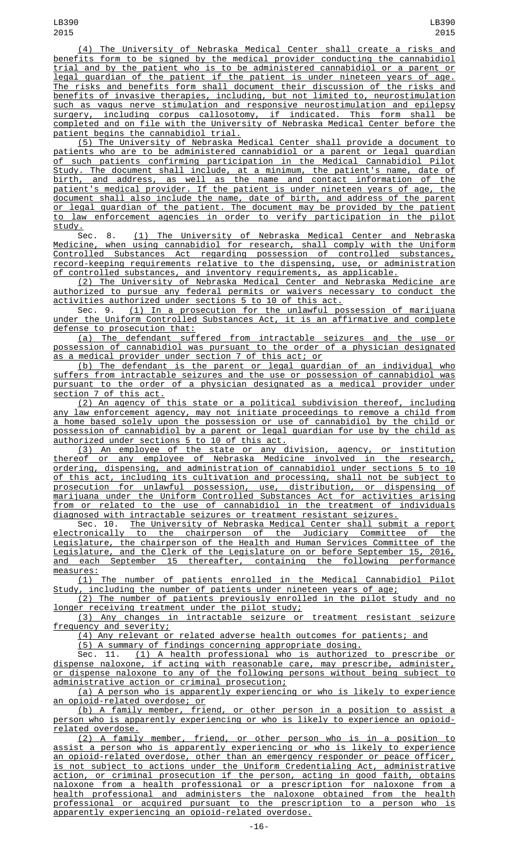(4) The University of Nebraska Medical Center shall create a risks and benefits form to be signed by the medical provider conducting the cannabidiol trial and by the patient who is to be administered cannabidiol or a parent or legal guardian of the patient if the patient is under nineteen years of age. The risks and benefits form shall document their discussion of the risks and benefits of invasive therapies, including, but not limited to, neurostimulation such as vagus nerve stimulation and responsive neurostimulation and epilepsy surgery, including corpus callosotomy, if indicated. This form shall be completed and on file with the University of Nebraska Medical Center before the patient begins the cannabidiol trial.

(5) The University of Nebraska Medical Center shall provide a document to patients who are to be administered cannabidiol or a parent or legal guardian of such patients confirming participation in the Medical Cannabidiol Pilot Study. The document shall include, at a minimum, the patient's name, date of birth, and address, as well as the name and contact information of the patient's medical provider. If the patient is under nineteen years of age, the document shall also include the name, date of birth, and address of the parent <u>or legal guardian of the patient. The document may be provided by the patient</u><br>to law enforcement agencies in order to verify participation in the pilot law enforcement agencies in order to verify participation in the pilot

study.<br>Sec. 8. (1) The University of Nebraska Medical Center and Nebraska Medicine, when using cannabidiol for research, shall comply with the Uniform Controlled Substances Act regarding possession of controlled substances, record-keeping requirements relative to the dispensing, use, or administration of controlled substances, and inventory requirements, as applicable.

(2) The University of Nebraska Medical Center and Nebraska Medicine are authorized to pursue any federal permits or waivers necessary to conduct the activities authorized under sections 5 to 10 of this act.

Sec. 9. <u>(1) In a prosecution for the unlawful possession of marijuana</u> under the Uniform Controlled Substances Act, it is an affirmative and complete defense to prosecution that:

(a) The defendant suffered from intractable seizures and the use or possession of cannabidiol was pursuant to the order of a physician designated as a medical provider under section 7 of this act; or

(b) The defendant is the parent or legal guardian of an individual who suffers from intractable seizures and the use or possession of cannabidiol was pursuant to the order of a physician designated as a medical provider under section 7 of this act.

(2) An agency of this state or a political subdivision thereof, including any law enforcement agency, may not initiate proceedings to remove a child from a home based solely upon the possession or use of cannabidiol by the child or possession of cannabidiol by a parent or legal guardian for use by the child as authorized under sections 5 to 10 of this act.

(3) An employee of the state or any division, agency, or institution thereof or any employee of Nebraska Medicine involved in the research, ordering, dispensing, and administration of cannabidiol under sections 5 to 10 of this act, including its cultivation and processing, shall not be subject to prosecution for unlawful possession, use, distribution, or dispensing of marijuana under the Uniform Controlled Substances Act for activities arising from or related to the use of cannabidiol in the treatment of individuals diagnosed with intractable seizures or treatment resistant seizures.

Sec. 10. The University of Nebraska Medical Center shall submit a report electronically to the chairperson of the Judiciary Committee of the Legislature, the chairperson of the Health and Human Services Committee of the Legislature, and the Clerk of the Legislature on or before September 15, 2016, and each September 15 thereafter, containing the following performance measures:

(1) The number of patients enrolled in the Medical Cannabidiol Pilot Study, including the number of patients under nineteen years of age;

(2) The number of patients previously enrolled in the pilot study and no longer receiving treatment under the pilot study;

(3) Any changes in intractable seizure or treatment resistant seizure frequency and severity;

(4) Any relevant or related adverse health outcomes for patients; and

(5) A summary of findings concerning appropriate dosing.

Sec. 11. (1) A health professional who is authorized to prescribe or dispense naloxone, if acting with reasonable care, may prescribe, administer, or dispense naloxone to any of the following persons without being subject to administrative action or criminal prosecution;

(a) A person who is apparently experiencing or who is likely to experience opioid-related overdose; or

(b) A family member, friend, or other person in a position to assist a person who is apparently experiencing or who is likely to experience an opioidrelated overdose.

(2) A family member, friend, or other person who is in a position assist a person who is apparently experiencing or who is likely to experience an opioid-related overdose, other than an emergency responder or peace officer, is not subject to actions under the Uniform Credentialing Act, administrative action, or criminal prosecution if the person, acting in good faith, obtains naloxone from a health professional or a prescription for naloxone from a health professional and administers the naloxone obtained from the health professional or acquired pursuant to the prescription to a person who is apparently experiencing an opioid-related overdose.